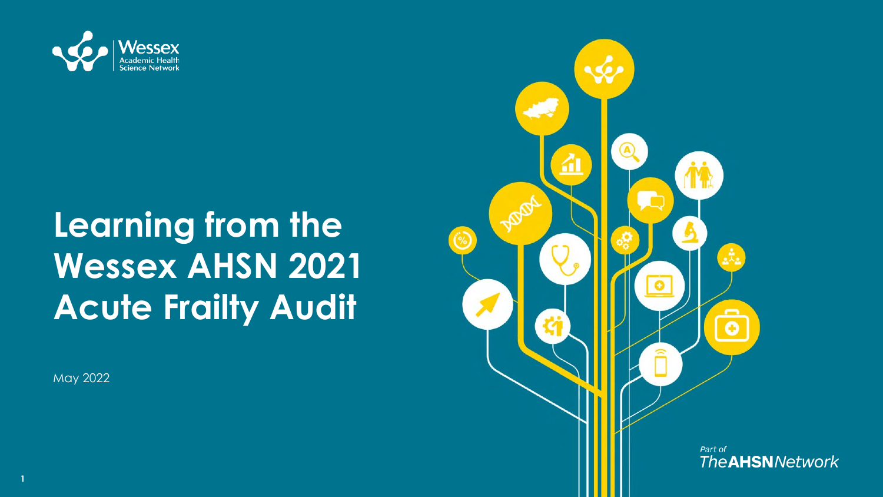

# **Learning from the Wessex AHSN 2021 Acute Frailty Audit**

May 2022

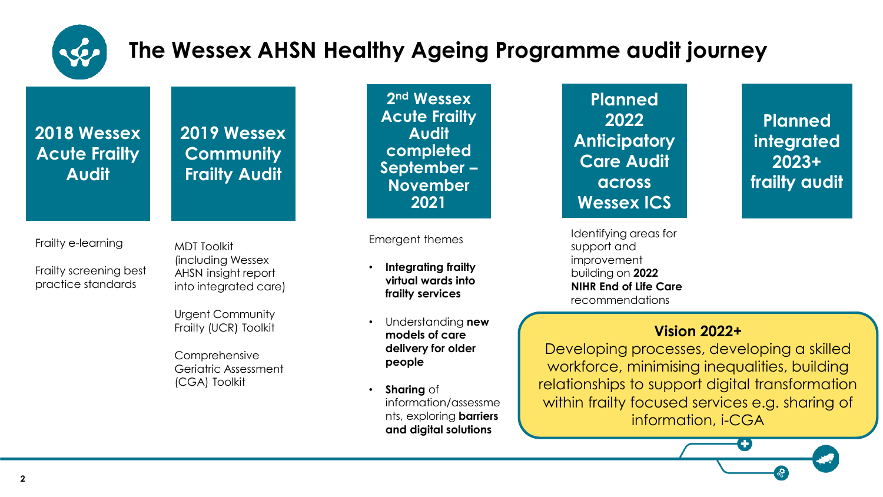

#### **The Wessex AHSN Healthy Ageing Programme audit journey**

**2018 Wessex Acute Frailty Audit**

**2019 Wessex Community Frailty Audit**

Frailty e-learning

Frailty screening best practice standards

MDT Toolkit (including Wessex AHSN insight report into integrated care)

Urgent Community Frailty (UCR) Toolkit

Comprehensive Geriatric Assessment (CGA) Toolkit

**2 nd Wessex Acute Frailty Audit completed September – November 2021**

Emergent themes

- **Integrating frailty virtual wards into frailty services**
- Understanding **new models of care delivery for older people**
- **Sharing** of information/assessme nts, exploring **barriers and digital solutions**

**Planned 2022 Anticipatory Care Audit across Wessex ICS**

Identifying areas for support and improvement building on **2022 NIHR End of Life Care**  recommendations

**Planned integrated 2023+ frailty audit**

#### **Vision 2022+**

Developing processes, developing a skilled workforce, minimising inequalities, building relationships to support digital transformation within frailty focused services e.g. sharing of information, i-CGA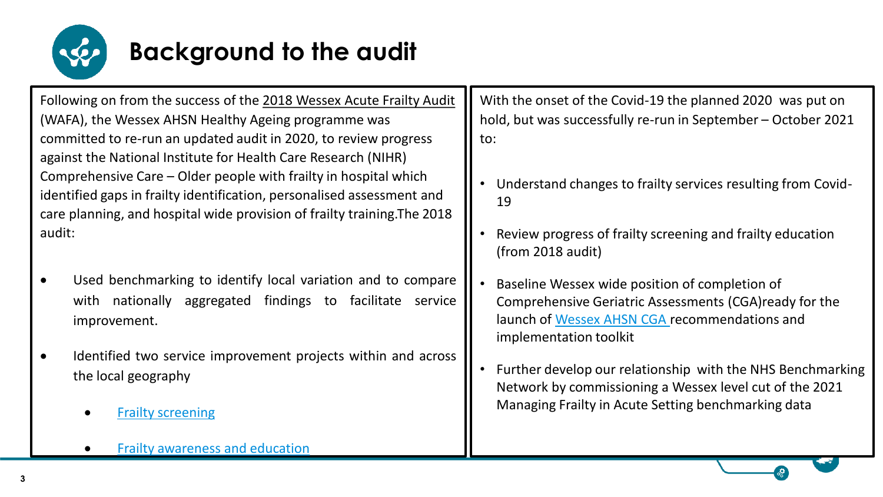

# **Background to the audit**

Following on from the success of the [2018 Wessex Acute Frailty Audit](https://wessexahsn.org.uk/img/projects/21062019%20Evaluation%20Report%20Wessex%20Acute%20Frailty%20Audit%202019%20v2.pdf) (WAFA), the Wessex AHSN Healthy Ageing programme was committed to re-run an updated audit in 2020, to review progress against the National Institute for Health Care Research (NIHR) Comprehensive Care – Older people with frailty in hospital which identified gaps in frailty identification, personalised assessment and care planning, and hospital wide provision of frailty training.The 2018 audit:

- Used benchmarking to identify local variation and to compare with nationally aggregated findings to facilitate service improvement.
- Identified two service improvement projects within and across the local geography
	- Frailty [screening](https://wessexahsn.org.uk/projects/316/frailty-screening-and-identification)
	- Frailty [awareness](https://wessexahsn.org.uk/projects/315/wessex-acute-frailty-education-and-awareness) and education

With the onset of the Covid-19 the planned 2020 was put on hold, but was successfully re-run in September – October 2021 to:

- Understand changes to frailty services resulting from Covid-19
- Review progress of frailty screening and frailty education (from 2018 audit)
- Baseline Wessex wide position of completion of Comprehensive Geriatric Assessments (CGA)ready for the launch of [Wessex AHSN CGA](https://wessexahsn.org.uk/projects/455/wessex-comprehensive-geriatric-assessment-cga-toolkit) recommendations and implementation toolkit
- Further develop our relationship with the NHS Benchmarking Network by commissioning a Wessex level cut of the 2021 Managing Frailty in Acute Setting benchmarking data

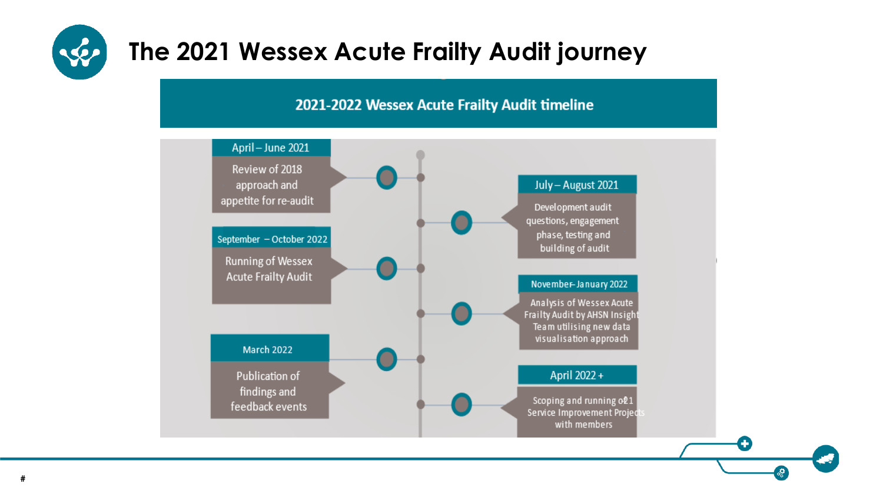

### **The 2021 Wessex Acute Frailty Audit journey**

#### 2021-2022 Wessex Acute Frailty Audit timeline

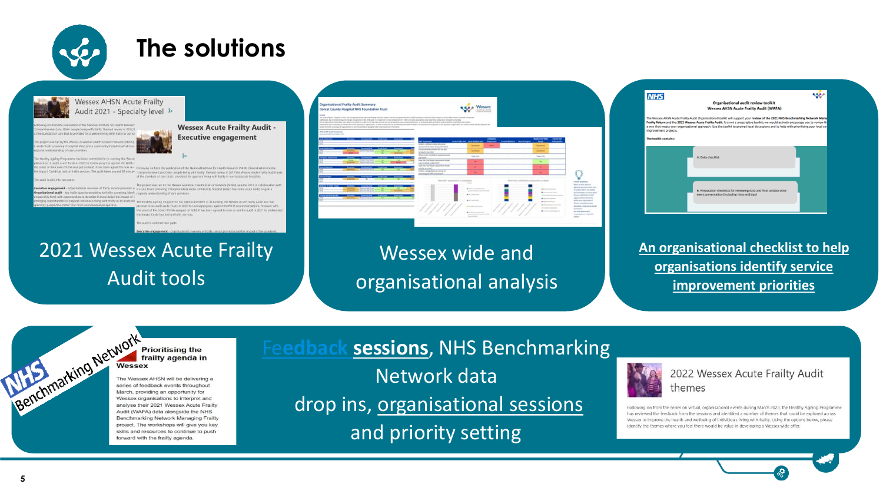

### **The solutions**

**Wessex Acute Frailty Audit -**

**Executive engagement** 



**Wessex AHSN Acute Frailty** Audit 2021 - Specialty level &

Ir mende Bang with Staffy' themed review in 2017 From their in completed for a passage thing with feather in our to

d to re-putit acute Trusts in 2020 to review process assirist the NIHR at of the Could 29 this was not on hold. If has been aimed to now incolousing on from the restriction of the National Institute for Health Be has had on frailty services. The audit takes around 20 minute impreferrative Care: Older people (Ming with frailty themed review in 2017;the Wessex Acute Frailty Audit look at the standard of care that is provided for a person living with halfty in our local acute hospitals

claim lead with concrucities to describe in more detail the impact of

acute Trusts (covering 9 hospital sites) and a community hospital (which has some acute beds) to gain a

bash living with frailty in an acute set. The Healthy Ageing Programme has been committed in re-naming the Wessex Acute Frailty Audit and had ened to re-audit acute Trusts in 2020 to review progress against the NHR recommendations, however with neet of the Covid-19 this was put on hold. It has been agreed to now re-run the audit in 2021 to Impact Covid has had on frailly services

#### 2021 Wessex Acute Frailty Audit tools

| <b>Isabella</b>                                           | <b>Organisational Frailty Audit Summary</b><br>Dorset County Hospital NHS Foundation Trust<br>This political is a countries to their contractor than operate further countries about 10x day enoughle feel for front if countries will look interiment or more of the component operative the position<br>Addressly, Aix N. (Editor) and during the auditory of the USA and it is improved to the interaction and infidely and only a purchase the condition of the final substitution on the public of the financial conditions and inf<br>Not all expressions pays allow your able to complete the suith due to internal presentee and old grantizes were proportionized, as comparing only with other must alwayshing with a member with contribute with country.<br>Mountains's year a searing at lated of accides yet able in operation, or stead durations was be officient of all alaft contains in trajectors in that authors in that and the superimental and be the contact of the county<br>would be able to concern of constitutions to catch it business design this that the constitution of |                               |   |                                                                                                          |        |                                                           |                                   |                                 |  |                                  |                                  |                                                                                               |
|-----------------------------------------------------------|------------------------------------------------------------------------------------------------------------------------------------------------------------------------------------------------------------------------------------------------------------------------------------------------------------------------------------------------------------------------------------------------------------------------------------------------------------------------------------------------------------------------------------------------------------------------------------------------------------------------------------------------------------------------------------------------------------------------------------------------------------------------------------------------------------------------------------------------------------------------------------------------------------------------------------------------------------------------------------------------------------------------------------------------------------------------------------------------------------|-------------------------------|---|----------------------------------------------------------------------------------------------------------|--------|-----------------------------------------------------------|-----------------------------------|---------------------------------|--|----------------------------------|----------------------------------|-----------------------------------------------------------------------------------------------|
| Mich at 5011 Audit formation<br>Second Hidest hands \$10. |                                                                                                                                                                                                                                                                                                                                                                                                                                                                                                                                                                                                                                                                                                                                                                                                                                                                                                                                                                                                                                                                                                            |                               |   |                                                                                                          |        |                                                           |                                   |                                 |  |                                  |                                  |                                                                                               |
| ----<br>                                                  |                                                                                                                                                                                                                                                                                                                                                                                                                                                                                                                                                                                                                                                                                                                                                                                                                                                                                                                                                                                                                                                                                                            | <b><i><u>Property</u></i></b> |   | <b>STANDARD</b>                                                                                          |        | August Lake Law And Made Lake                             | <b>Longers</b><br><b>Business</b> | <b>Searchedow Searchean</b>     |  | Madona for their<br><b>Sept.</b> | <b>Tauruse</b><br><b>Schools</b> |                                                                                               |
|                                                           |                                                                                                                                                                                                                                                                                                                                                                                                                                                                                                                                                                                                                                                                                                                                                                                                                                                                                                                                                                                                                                                                                                            |                               |   | 1. Roy's a defense much analyzes our<br>cannot be foreints at ranged                                     |        | <b>Selection</b>                                          | $\frac{1}{2}$                     |                                 |  | Senator                          | v.                               |                                                                                               |
|                                                           |                                                                                                                                                                                                                                                                                                                                                                                                                                                                                                                                                                                                                                                                                                                                                                                                                                                                                                                                                                                                                                                                                                            |                               |   | a superior direct problem for and stop<br>Included in the Sales                                          | ÷      | <b>Services</b>                                           | ٠                                 |                                 |  | <b>School Cold</b>               | $\sim$                           |                                                                                               |
|                                                           |                                                                                                                                                                                                                                                                                                                                                                                                                                                                                                                                                                                                                                                                                                                                                                                                                                                                                                                                                                                                                                                                                                            |                               | ╾ | Mary 4 Ro (Michael) company and<br>pained.                                                               | $\sim$ | <b>Reporter</b>                                           |                                   |                                 |  | Rentals                          | ÷                                |                                                                                               |
|                                                           | <b>Street Profit State</b>                                                                                                                                                                                                                                                                                                                                                                                                                                                                                                                                                                                                                                                                                                                                                                                                                                                                                                                                                                                                                                                                                 |                               |   | Lisa the U.S.A. Perform advancement backage<br>carryingtast police but                                   |        | <b>SALE</b>                                               |                                   |                                 |  | ۰                                |                                  |                                                                                               |
| ___                                                       | <b>Street Gallery</b><br><b>Little College Little</b>                                                                                                                                                                                                                                                                                                                                                                                                                                                                                                                                                                                                                                                                                                                                                                                                                                                                                                                                                                                                                                                      |                               |   | <b>Date the TEACHING assurance beliefs</b><br>Hally tary plant<br>is there a designated case service for |        | <b>Sec.</b>                                               |                                   |                                 |  | ۰                                | ٠                                |                                                                                               |
| <b>STARTS</b>                                             |                                                                                                                                                                                                                                                                                                                                                                                                                                                                                                                                                                                                                                                                                                                                                                                                                                                                                                                                                                                                                                                                                                            |                               |   | parameg for MT associated                                                                                |        | $\sim$                                                    | n.                                |                                 |  | ۰                                | - 1                              |                                                                                               |
| ÷                                                         |                                                                                                                                                                                                                                                                                                                                                                                                                                                                                                                                                                                                                                                                                                                                                                                                                                                                                                                                                                                                                                                                                                            |                               |   | New MDT accounted a completed<br><b>COLOR</b>                                                            |        |                                                           |                                   | Matche COUNTRY assumed or kins. |  |                                  |                                  | <b>Subker Greekees</b>                                                                        |
|                                                           | <b>Electronical State</b>                                                                                                                                                                                                                                                                                                                                                                                                                                                                                                                                                                                                                                                                                                                                                                                                                                                                                                                                                                                                                                                                                  |                               |   |                                                                                                          |        | <b>Bill alle with proportions</b>                         |                                   |                                 |  | Wicked artistics                 |                                  | What and adult player to<br><b>Jigmeley person vanished plans</b>                             |
|                                                           | <b>Chronologie Busin</b><br><b>Change Ser</b>                                                                                                                                                                                                                                                                                                                                                                                                                                                                                                                                                                                                                                                                                                                                                                                                                                                                                                                                                                                                                                                              | <b>The Corporation</b>        |   |                                                                                                          |        | actions further as a comment for their<br>And was the top |                                   |                                 |  | <b><i>Sinksworth House</i></b>   | a future and recent and con-     | to analise shaft a very writing<br>and habituals to scients about<br>By an exhibition exhibit |
|                                                           | <b>Commercial Lake</b>                                                                                                                                                                                                                                                                                                                                                                                                                                                                                                                                                                                                                                                                                                                                                                                                                                                                                                                                                                                                                                                                                     |                               | ≖ |                                                                                                          |        | <b>British Advised</b>                                    |                                   |                                 |  | <b>A</b> human company           |                                  | construction well-writer<br>with our exercises in                                             |
|                                                           |                                                                                                                                                                                                                                                                                                                                                                                                                                                                                                                                                                                                                                                                                                                                                                                                                                                                                                                                                                                                                                                                                                            |                               |   |                                                                                                          |        | <b>Report Follows</b>                                     |                                   |                                 |  | <b>KIND OF BUILT</b>             | at honding former state proper-  | If there is summer proper-<br>specializes, what can be depend-                                |

#### Wessex wide and organisational analysis



**[An organisational checklist to help](https://wessexahsn.org.uk/img/projects/Wessex%20Acute%20Frailty%20Audit%20Organisational%20Toolkit%202022.pdf) organisations identify service improvement priorities**



The Wessex AHSN will be delivering a series of feedback events throughout March, providing an opportunity for Wessex organisations to interpret and analyse their 2021 Wessex Acute Frailty Audit (WAFA) data alongside the NHS Benchmarking Network Managing Frailty project. The workshops will give you key skills and resources to continue to push forward with the frailty agenda.

Fe**[edback sessions](https://wessexahsn.org.uk/img/projects/3rd%20March%202022%20-%202021%20Wessex%20Acute%20Frailty%20Audit%20Data%20Feedback%20Data-1646751280.pptx)**, NHS Benchmarking Network data

drop ins, [organisational sessions](https://wessexahsn.org.uk/videos/show/454) 

and priority setting



2022 Wessex Acute Frailty Audit themes

Following on from the series on virtual, organisational events during March 2022, the Healthy Ageing Programme has reviewed the feedback from the sessions and identified a number of themes that could be explored across Wessex to improve the health and wellbeing of individuals living with frailty. Using the options below, please identify the themes where you feel there would be value in developing a Wessex wide offer.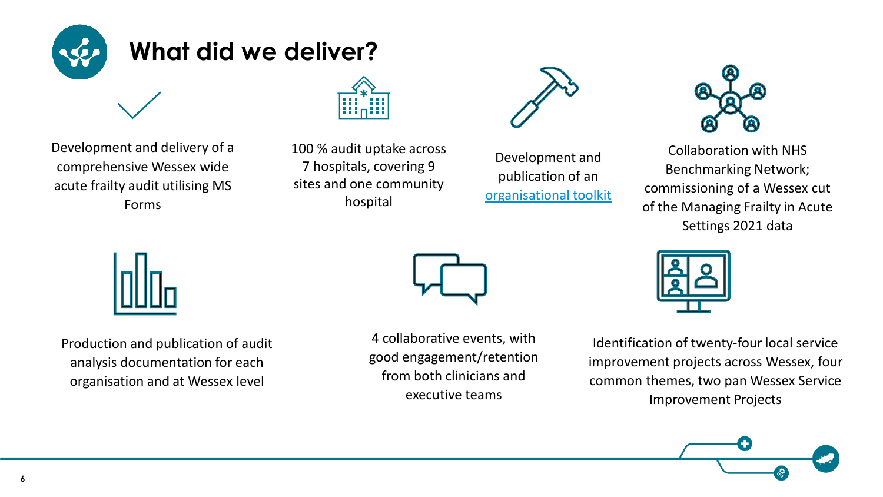

Development and delivery of a comprehensive Wessex wide acute frailty audit utilising MS Forms



100 % audit uptake across 7 hospitals, covering 9 sites and one community hospital



Development and publication of an [organisational toolkit](https://wessexahsn.org.uk/img/projects/Wessex%20Acute%20Frailty%20Audit%20Organisational%20Toolkit%202022.pdf)



Collaboration with NHS Benchmarking Network; commissioning of a Wessex cut of the Managing Frailty in Acute Settings 2021 data



Production and publication of audit analysis documentation for each organisation and at Wessex level



4 collaborative events, with good engagement/retention from both clinicians and executive teams



Identification of twenty-four local service improvement projects across Wessex, four common themes, two pan Wessex Service Improvement Projects

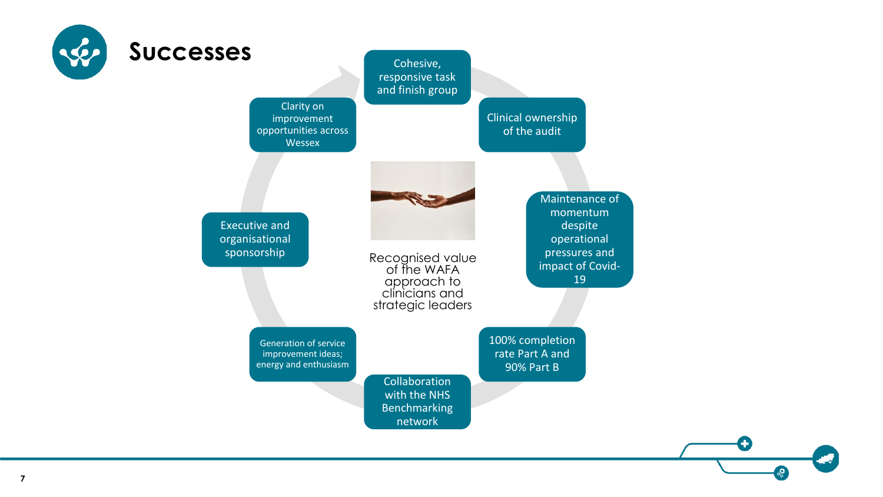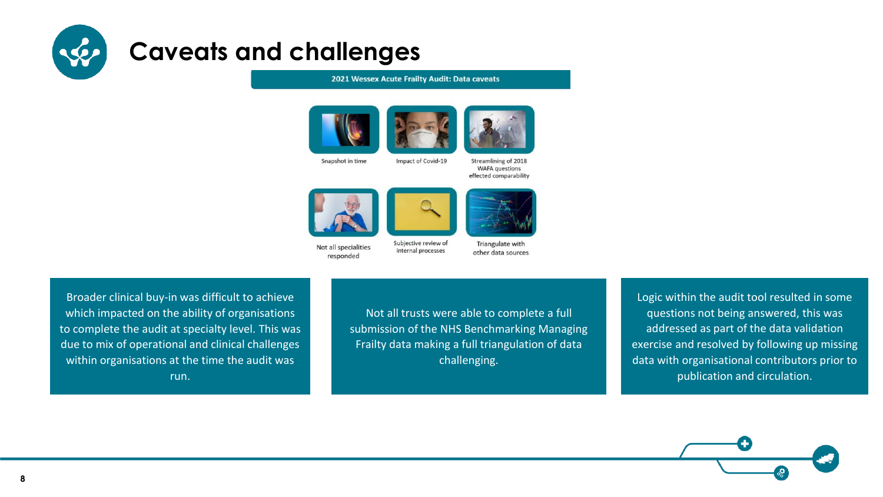

#### **Caveats and challenges**

#### 2021 Wessex Acute Frailty Audit: Data caveats

internal processes





Snapshot in time

Impact of Covid-19

Streamlining of 2018 **WAFA** questions effected comparability





Not all specialities responded

Triangulate with other data sources

Broader clinical buy-in was difficult to achieve which impacted on the ability of organisations to complete the audit at specialty level. This was due to mix of operational and clinical challenges within organisations at the time the audit was run.

Not all trusts were able to complete a full submission of the NHS Benchmarking Managing Frailty data making a full triangulation of data challenging.

Logic within the audit tool resulted in some questions not being answered, this was addressed as part of the data validation exercise and resolved by following up missing data with organisational contributors prior to publication and circulation.



**8**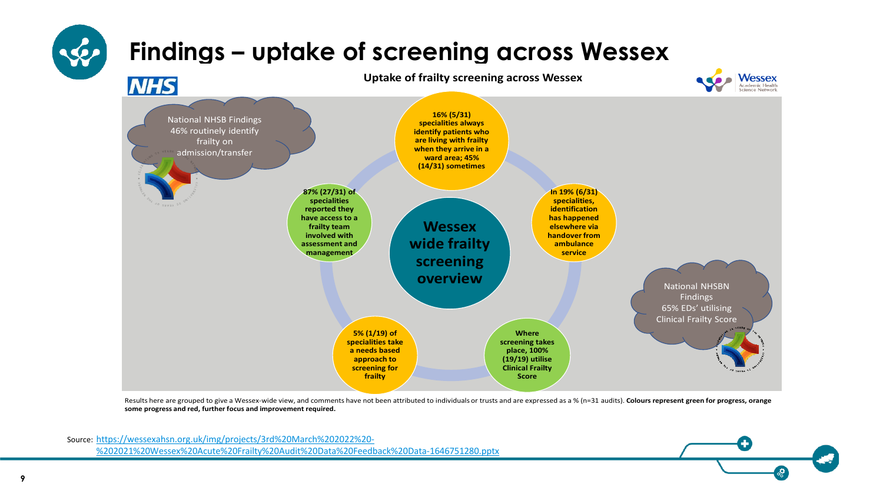

Results here are grouped to give a Wessex-wide view, and comments have not been attributed to individuals or trusts and are expressed as a % (n=31 audits). Colours represent green for progress, orange **some progress and red, further focus and improvement required.**

Source: https://wessexahsn.org.uk/img/projects/3rd%20March%202022%20- [%202021%20Wessex%20Acute%20Frailty%20Audit%20Data%20Feedback%20Data-1646751280.pptx](https://wessexahsn.org.uk/img/projects/3rd%20March%202022%20-%202021%20Wessex%20Acute%20Frailty%20Audit%20Data%20Feedback%20Data-1646751280.pptx)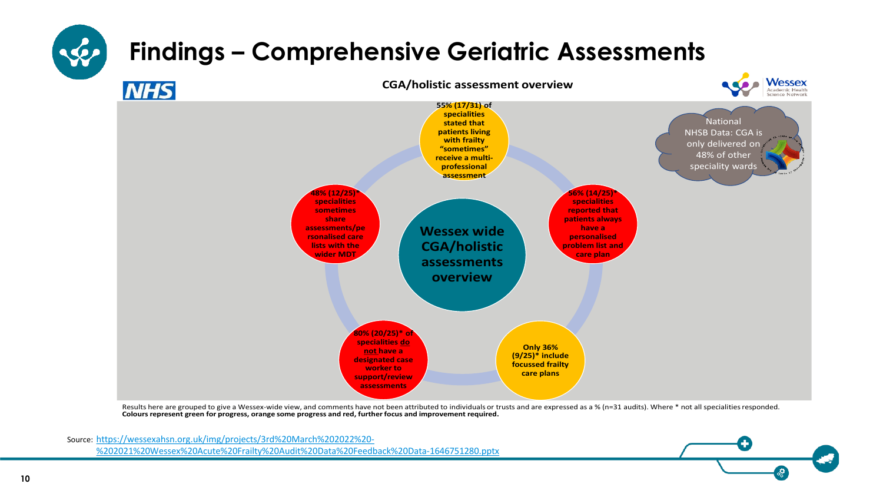

Results here are grouped to give a Wessex-wide view, and comments have not been attributed to individuals or trusts and are expressed as a % (n=31 audits). Where \* not all specialities responded. **Colours represent green for progress, orange some progress and red, further focus and improvement required.**

Source: https://wessexahsn.org.uk/img/projects/3rd%20March%202022%20- [%202021%20Wessex%20Acute%20Frailty%20Audit%20Data%20Feedback%20Data-1646751280.pptx](https://wessexahsn.org.uk/img/projects/3rd%20March%202022%20-%202021%20Wessex%20Acute%20Frailty%20Audit%20Data%20Feedback%20Data-1646751280.pptx)

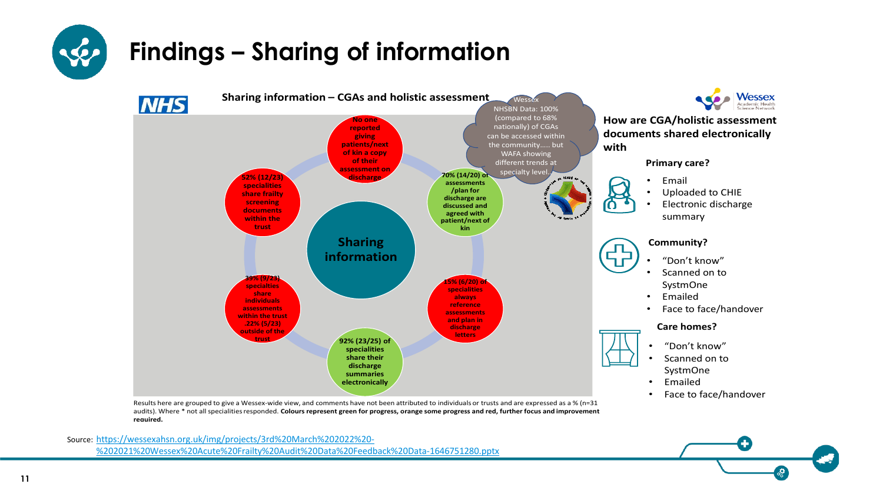

# **Findings – Sharing of information**



Results here are grouped to give a Wessex-wide view, and comments have not been attributed to individuals or trusts and are expressed as a % (n=31 audits). Where \* not all specialities responded. **Colours represent green for progress, orange some progress and red, further focus and improvement required.**

Source: https://wessexahsn.org.uk/img/projects/3rd%20March%202022%20- [%202021%20Wessex%20Acute%20Frailty%20Audit%20Data%20Feedback%20Data-1646751280.pptx](https://wessexahsn.org.uk/img/projects/3rd%20March%202022%20-%202021%20Wessex%20Acute%20Frailty%20Audit%20Data%20Feedback%20Data-1646751280.pptx)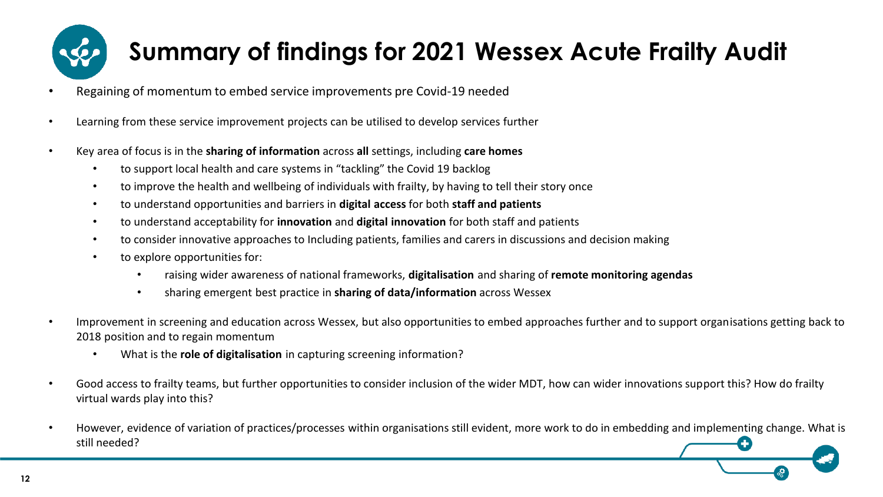

# **Summary of findings for 2021 Wessex Acute Frailty Audit**

- Regaining of momentum to embed service improvements pre Covid-19 needed
- Learning from these service improvement projects can be utilised to develop services further
- Key area of focus is in the **sharing of information** across **all** settings, including **care homes**
	- to support local health and care systems in "tackling" the Covid 19 backlog
	- to improve the health and wellbeing of individuals with frailty, by having to tell their story once
	- to understand opportunities and barriers in **digital access** for both **staff and patients**
	- to understand acceptability for **innovation** and **digital innovation** for both staff and patients
	- to consider innovative approaches to Including patients, families and carers in discussions and decision making
	- to explore opportunities for:
		- raising wider awareness of national frameworks, **digitalisation** and sharing of **remote monitoring agendas**
		- sharing emergent best practice in **sharing of data/information** across Wessex
- Improvement in screening and education across Wessex, but also opportunities to embed approaches further and to support organisations getting back to 2018 position and to regain momentum
	- What is the **role of digitalisation** in capturing screening information?
- Good access to frailty teams, but further opportunities to consider inclusion of the wider MDT, how can wider innovations support this? How do frailty virtual wards play into this?
- However, evidence of variation of practices/processes within organisations still evident, more work to do in embedding and implementing change. What is still needed?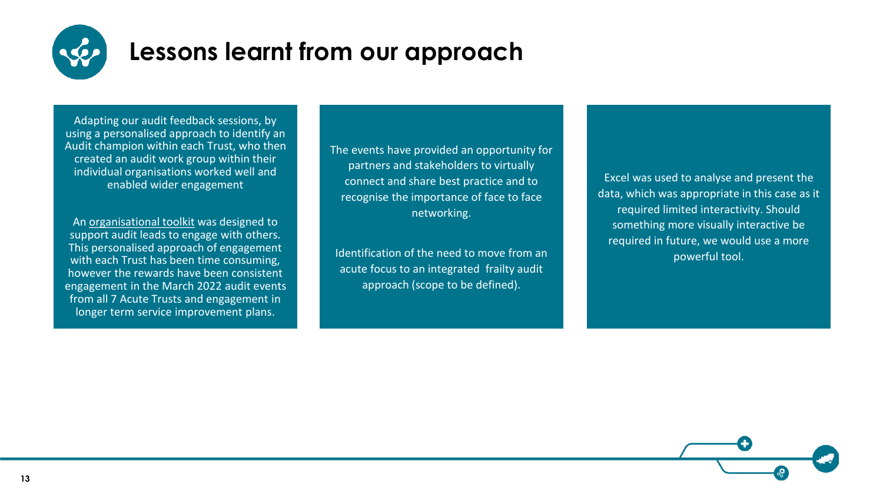

### **Lessons learnt from our approach**

Adapting our audit feedback sessions, by using a personalised approach to identify an Audit champion within each Trust, who then created an audit work group within their individual organisations worked well and enabled wider engagement

An [organisational toolkit](https://wessexahsn.org.uk/img/projects/Wessex%20Acute%20Frailty%20Audit%20Organisational%20Toolkit%202022.pdf) was designed to support audit leads to engage with others. This personalised approach of engagement with each Trust has been time consuming, however the rewards have been consistent engagement in the March 2022 audit events from all 7 Acute Trusts and engagement in longer term service improvement plans.

The events have provided an opportunity for partners and stakeholders to virtually connect and share best practice and to recognise the importance of face to face networking.

Identification of the need to move from an acute focus to an integrated frailty audit approach (scope to be defined).

Excel was used to analyse and present the data, which was appropriate in this case as it required limited interactivity. Should something more visually interactive be required in future, we would use a more powerful tool.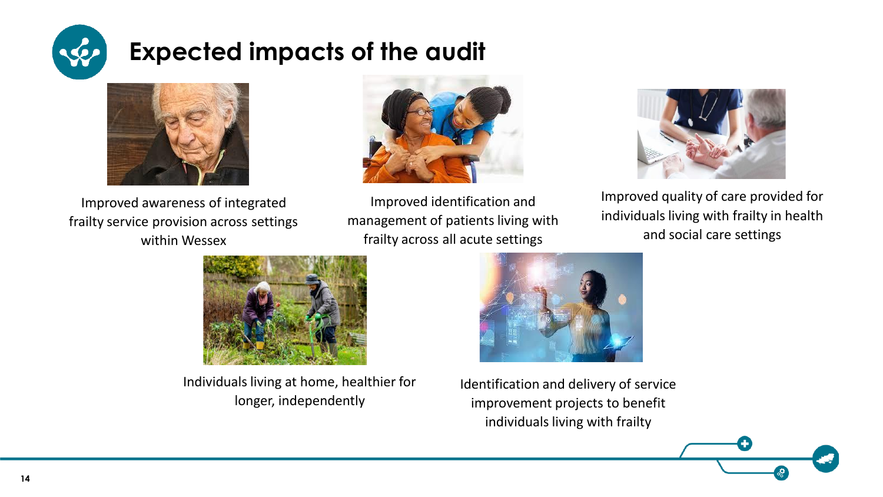

## **Expected impacts of the audit**



Improved awareness of integrated frailty service provision across settings within Wessex



Improved identification and management of patients living with frailty across all acute settings



Improved quality of care provided for individuals living with frailty in health and social care settings



Individuals living at home, healthier for longer, independently



Identification and delivery of service improvement projects to benefit individuals living with frailty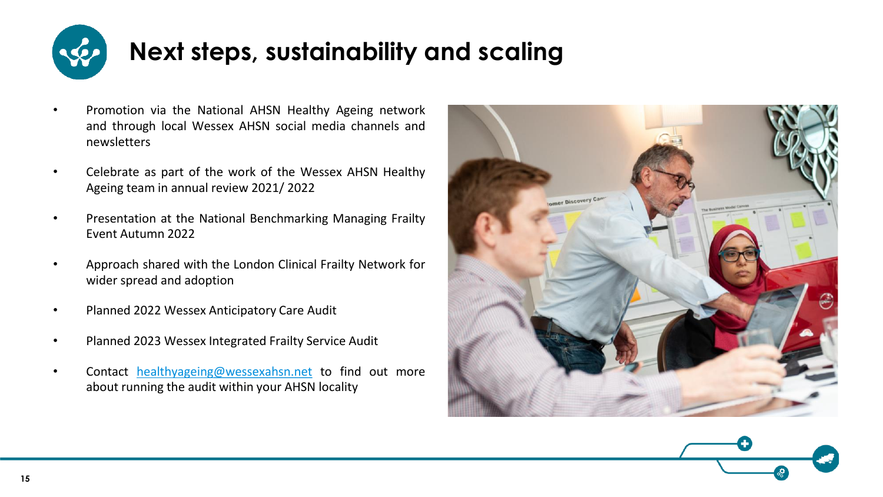

- Promotion via the National AHSN Healthy Ageing network and through local Wessex AHSN social media channels and newsletters
- Celebrate as part of the work of the Wessex AHSN Healthy Ageing team in annual review 2021/ 2022
- Presentation at the National Benchmarking Managing Frailty Event Autumn 2022
- Approach shared with the London Clinical Frailty Network for wider spread and adoption
- Planned 2022 Wessex Anticipatory Care Audit
- Planned 2023 Wessex Integrated Frailty Service Audit
- Contact [healthyageing@wessexahsn.net](mailto:healthyageing@wessexahsn.net) to find out more about running the audit within your AHSN locality



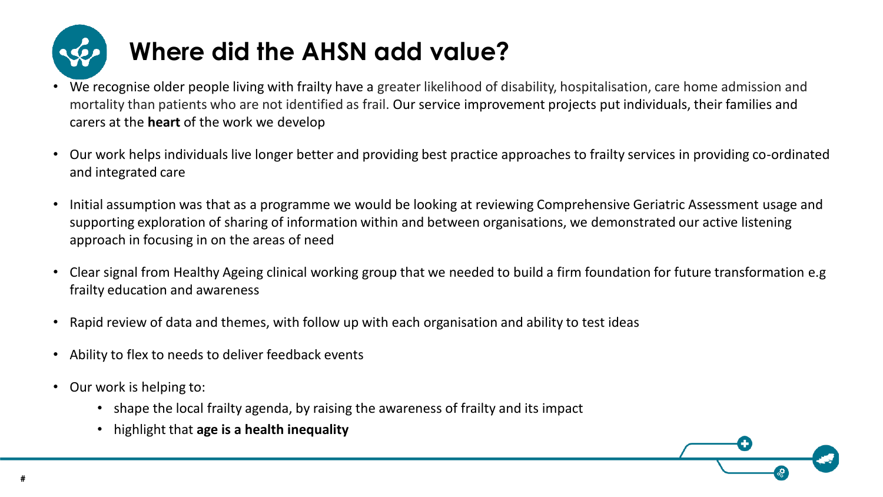

# **Where did the AHSN add value?**

- We recognise older people living with frailty have a greater likelihood of disability, hospitalisation, care home admission and mortality than patients who are not identified as frail. Our service improvement projects put individuals, their families and carers at the **heart** of the work we develop
- Our work helps individuals live longer better and providing best practice approaches to frailty services in providing co-ordinated and integrated care
- Initial assumption was that as a programme we would be looking at reviewing Comprehensive Geriatric Assessment usage and supporting exploration of sharing of information within and between organisations, we demonstrated our active listening approach in focusing in on the areas of need
- Clear signal from Healthy Ageing clinical working group that we needed to build a firm foundation for future transformation e.g frailty education and awareness
- Rapid review of data and themes, with follow up with each organisation and ability to test ideas
- Ability to flex to needs to deliver feedback events
- Our work is helping to:
	- shape the local frailty agenda, by raising the awareness of frailty and its impact
	- highlight that **age is a health inequality**